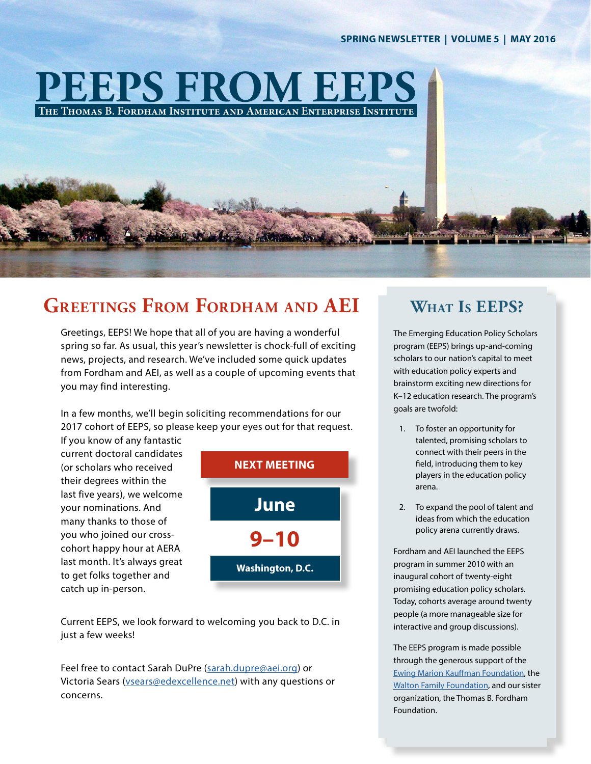#### **SPRING NEWSLETTER | VOLUME 5 | MAY 2016**

## **PEEPS FROM EEPS The Thomas B. Fordham Institute and American Enterprise Institute**

## **Greetings From Fordham and AEI What Is EEPS?**

Greetings, EEPS! We hope that all of you are having a wonderful spring so far. As usual, this year's newsletter is chock-full of exciting news, projects, and research. We've included some quick updates from Fordham and AEI, as well as a couple of upcoming events that you may find interesting.

In a few months, we'll begin soliciting recommendations for our 2017 cohort of EEPS, so please keep your eyes out for that request. If you know of any fantastic

current doctoral candidates (or scholars who received their degrees within the last five years), we welcome your nominations. And many thanks to those of you who joined our crosscohort happy hour at AERA last month. It's always great to get folks together and catch up in-person.



Current EEPS, we look forward to welcoming you back to D.C. in just a few weeks!

Feel free to contact Sarah DuPre (sarah.dupre@aei.org) or Victoria Sears (vsears@edexcellence.net) with any questions or concerns.

The Emerging Education Policy Scholars program (EEPS) brings up-and-coming scholars to our nation's capital to meet with education policy experts and brainstorm exciting new directions for K–12 education research. The program's goals are twofold:

- 1. To foster an opportunity for talented, promising scholars to connect with their peers in the field, introducing them to key players in the education policy arena.
- 2. To expand the pool of talent and ideas from which the education policy arena currently draws.

Fordham and AEI launched the EEPS program in summer 2010 with an inaugural cohort of twenty-eight promising education policy scholars. Today, cohorts average around twenty people (a more manageable size for interactive and group discussions).

The EEPS program is made possible through the generous support of the [Ewing Marion Kauffman Foundation](http://www.kauffman.org/), the [Walton Family Foundation,](http://www.waltonfamilyfoundation.org/) and our sister organization, the Thomas B. Fordham Foundation.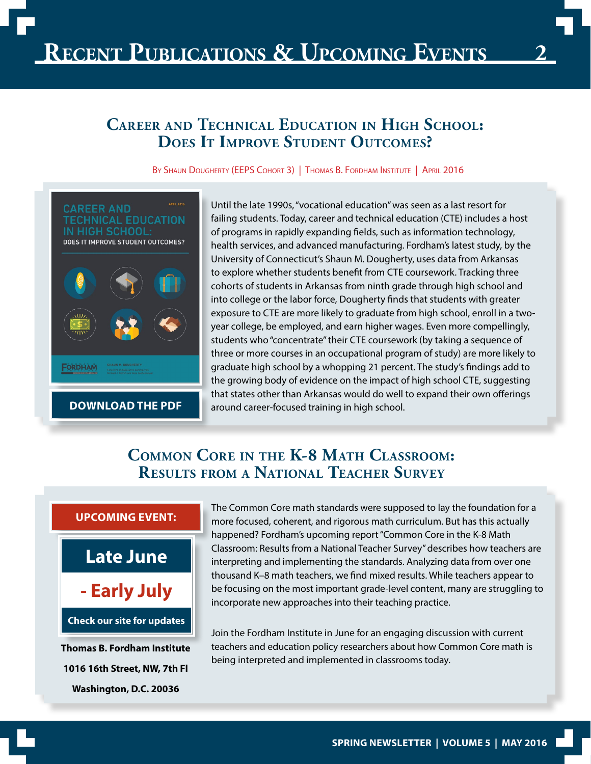## **Career and Technical Education in High School: Does It Improve Student Outcomes?**

BY SHAUN DOUGHERTY (EEPS COHORT 3) | THOMAS B. FORDHAM INSTITUTE | APRIL 2016



Until the late 1990s, "vocational education" was seen as a last resort for failing students. Today, career and technical education (CTE) includes a host of programs in rapidly expanding fields, such as information technology, health services, and advanced manufacturing. Fordham's latest study, by the University of Connecticut's Shaun M. Dougherty, uses data from Arkansas to explore whether students benefit from CTE coursework. Tracking three cohorts of students in Arkansas from ninth grade through high school and into college or the labor force, Dougherty finds that students with greater exposure to CTE are more likely to graduate from high school, enroll in a twoyear college, be employed, and earn higher wages. Even more compellingly, students who "concentrate" their CTE coursework (by taking a sequence of three or more courses in an occupational program of study) are more likely to graduate high school by a whopping 21 percent. The study's findings add to the growing body of evidence on the impact of high school CTE, suggesting that states other than Arkansas would do well to expand their own offerings **[DOWNLOAD THE PDF](http://edexcellence.net/publications/career-and-technical-education-in-high-school-does-it-improve-student-outcomes)** around career-focused training in high school.

### **Common Core in the K-8 Math Classroom: Results from a National Teacher Survey**



The Common Core math standards were supposed to lay the foundation for a more focused, coherent, and rigorous math curriculum. But has this actually happened? Fordham's upcoming report "Common Core in the K-8 Math Classroom: Results from a National Teacher Survey" describes how teachers are interpreting and implementing the standards. Analyzing data from over one thousand K–8 math teachers, we find mixed results. While teachers appear to be focusing on the most important grade-level content, many are struggling to incorporate new approaches into their teaching practice.

Join the Fordham Institute in June for an engaging discussion with current teachers and education policy researchers about how Common Core math is being interpreted and implemented in classrooms today.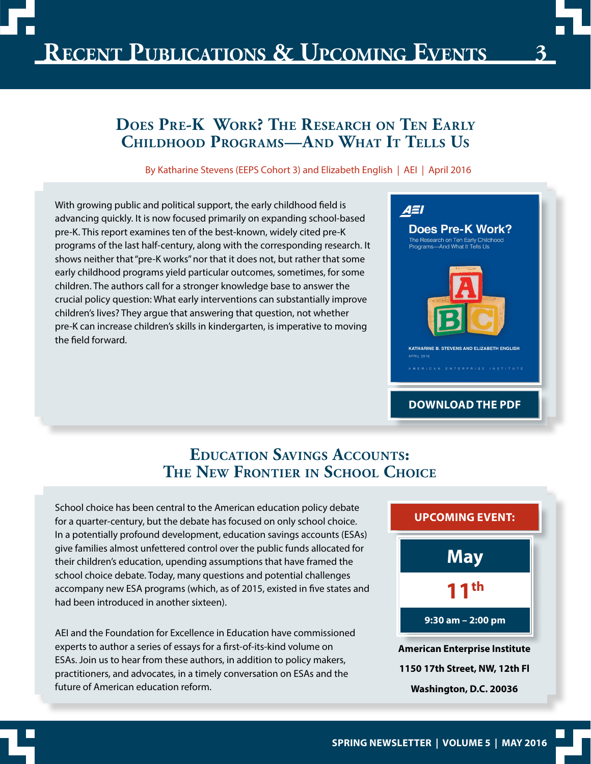## **Does Pre-K Work? The Research on Ten Early Childhood Programs—And What It Tells Us**

By Katharine Stevens (EEPS Cohort 3) and Elizabeth English | AEI | April 2016

With growing public and political support, the early childhood field is advancing quickly. It is now focused primarily on expanding school-based pre-K. This report examines ten of the best-known, widely cited pre-K programs of the last half-century, along with the corresponding research. It shows neither that "pre-K works" nor that it does not, but rather that some early childhood programs yield particular outcomes, sometimes, for some children. The authors call for a stronger knowledge base to answer the crucial policy question: What early interventions can substantially improve children's lives? They argue that answering that question, not whether pre-K can increase children's skills in kindergarten, is imperative to moving the field forward.



### **Education Savings Accounts: The New Frontier in School Choice**

School choice has been central to the American education policy debate for a quarter-century, but the debate has focused on only school choice. In a potentially profound development, education savings accounts (ESAs) give families almost unfettered control over the public funds allocated for their children's education, upending assumptions that have framed the school choice debate. Today, many questions and potential challenges accompany new ESA programs (which, as of 2015, existed in five states and had been introduced in another sixteen).

AEI and the Foundation for Excellence in Education have commissioned experts to author a series of essays for a first-of-its-kind volume on ESAs. Join us to hear from these authors, in addition to policy makers, practitioners, and advocates, in a timely conversation on ESAs and the future of American education reform.

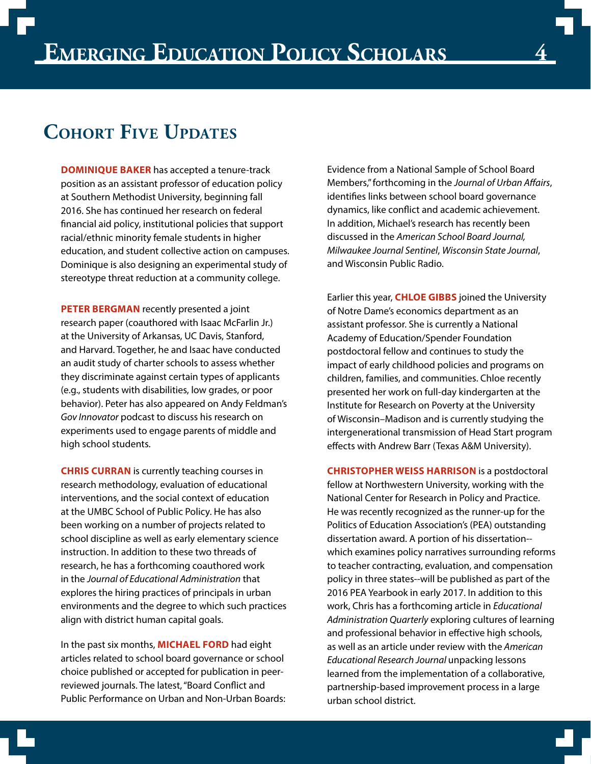## **Cohort Five Updates**

**DOMINIQUE BAKER** has accepted a tenure-track position as an assistant professor of education policy at Southern Methodist University, beginning fall 2016. She has continued her research on federal financial aid policy, institutional policies that support racial/ethnic minority female students in higher education, and student collective action on campuses. Dominique is also designing an experimental study of stereotype threat reduction at a community college.

**PETER BERGMAN** recently presented a joint research paper (coauthored with Isaac McFarlin Jr.) at the University of Arkansas, UC Davis, Stanford, and Harvard. Together, he and Isaac have conducted an audit study of charter schools to assess whether they discriminate against certain types of applicants (e.g., students with disabilities, low grades, or poor behavior). Peter has also appeared on Andy Feldman's *Gov Innovator* podcast to discuss his research on experiments used to engage parents of middle and high school students.

**CHRIS CURRAN** is currently teaching courses in research methodology, evaluation of educational interventions, and the social context of education at the UMBC School of Public Policy. He has also been working on a number of projects related to school discipline as well as early elementary science instruction. In addition to these two threads of research, he has a forthcoming coauthored work in the *Journal of Educational Administration* that explores the hiring practices of principals in urban environments and the degree to which such practices align with district human capital goals.

In the past six months, **MICHAEL FORD** had eight articles related to school board governance or school choice published or accepted for publication in peerreviewed journals. The latest, "Board Conflict and Public Performance on Urban and Non-Urban Boards: Evidence from a National Sample of School Board Members," forthcoming in the *Journal of Urban Affairs*, identifies links between school board governance dynamics, like conflict and academic achievement. In addition, Michael's research has recently been discussed in the *American School Board Journal, Milwaukee Journal Sentinel*, *Wisconsin State Journal*, and Wisconsin Public Radio.

Earlier this year, **CHLOE GIBBS** joined the University of Notre Dame's economics department as an assistant professor. She is currently a National Academy of Education/Spender Foundation postdoctoral fellow and continues to study the impact of early childhood policies and programs on children, families, and communities. Chloe recently presented her work on full-day kindergarten at the Institute for Research on Poverty at the University of Wisconsin–Madison and is currently studying the intergenerational transmission of Head Start program effects with Andrew Barr (Texas A&M University).

**CHRISTOPHER WEISS HARRISON** is a postdoctoral fellow at Northwestern University, working with the National Center for Research in Policy and Practice. He was recently recognized as the runner-up for the Politics of Education Association's (PEA) outstanding dissertation award. A portion of his dissertation- which examines policy narratives surrounding reforms to teacher contracting, evaluation, and compensation policy in three states--will be published as part of the 2016 PEA Yearbook in early 2017. In addition to this work, Chris has a forthcoming article in *Educational Administration Quarterly* exploring cultures of learning and professional behavior in effective high schools, as well as an article under review with the *American Educational Research Journal* unpacking lessons learned from the implementation of a collaborative, partnership-based improvement process in a large urban school district.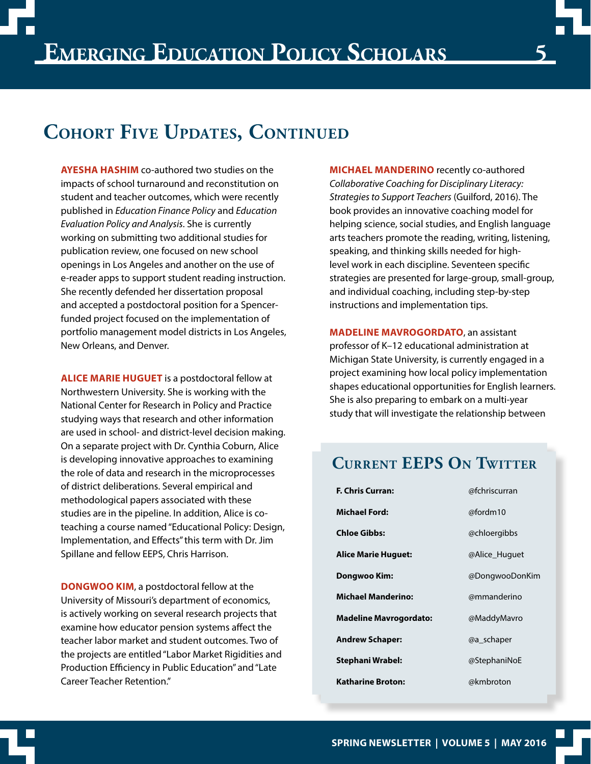## **Cohort Five Updates, Continued**

**AYESHA HASHIM** co-authored two studies on the impacts of school turnaround and reconstitution on student and teacher outcomes, which were recently published in *Education Finance Policy* and *Education Evaluation Policy and Analysis*. She is currently working on submitting two additional studies for publication review, one focused on new school openings in Los Angeles and another on the use of e-reader apps to support student reading instruction. She recently defended her dissertation proposal and accepted a postdoctoral position for a Spencerfunded project focused on the implementation of portfolio management model districts in Los Angeles, New Orleans, and Denver.

**ALICE MARIE HUGUET** is a postdoctoral fellow at Northwestern University. She is working with the National Center for Research in Policy and Practice studying ways that research and other information are used in school- and district-level decision making. On a separate project with Dr. Cynthia Coburn, Alice is developing innovative approaches to examining the role of data and research in the microprocesses of district deliberations. Several empirical and methodological papers associated with these studies are in the pipeline. In addition, Alice is coteaching a course named "Educational Policy: Design, Implementation, and Effects" this term with Dr. Jim Spillane and fellow EEPS, Chris Harrison.

**DONGWOO KIM**, a postdoctoral fellow at the University of Missouri's department of economics, is actively working on several research projects that examine how educator pension systems affect the teacher labor market and student outcomes. Two of the projects are entitled "Labor Market Rigidities and Production Efficiency in Public Education" and "Late Career Teacher Retention."

**MICHAEL MANDERINO** recently co-authored *Collaborative Coaching for Disciplinary Literacy: Strategies to Support Teachers* (Guilford, 2016). The book provides an innovative coaching model for helping science, social studies, and English language arts teachers promote the reading, writing, listening, speaking, and thinking skills needed for highlevel work in each discipline. Seventeen specific strategies are presented for large-group, small-group, and individual coaching, including step-by-step instructions and implementation tips.

**MADELINE MAVROGORDATO**, an assistant professor of K–12 educational administration at Michigan State University, is currently engaged in a project examining how local policy implementation shapes educational opportunities for English learners. She is also preparing to embark on a multi-year study that will investigate the relationship between

## **Current EEPS On Twitter**

| <b>F. Chris Curran:</b>       | @fchriscurran  |
|-------------------------------|----------------|
| <b>Michael Ford:</b>          | @fordm10       |
| <b>Chloe Gibbs:</b>           | @chloergibbs   |
| <b>Alice Marie Huguet:</b>    | @Alice Huguet  |
| Dongwoo Kim:                  | @DongwooDonKim |
| <b>Michael Manderino:</b>     | @mmanderino    |
| <b>Madeline Mavrogordato:</b> | @MaddyMavro    |
| <b>Andrew Schaper:</b>        | @a_schaper     |
| <b>Stephani Wrabel:</b>       | @StephaniNoE   |
| <b>Katharine Broton:</b>      | @kmbroton      |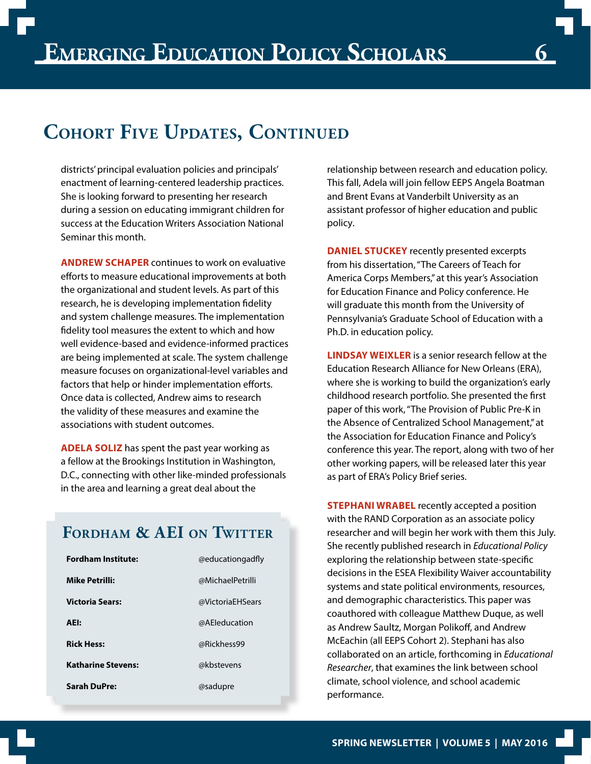## **Cohort Five Updates, Continued**

districts' principal evaluation policies and principals' enactment of learning-centered leadership practices. She is looking forward to presenting her research during a session on educating immigrant children for success at the Education Writers Association National Seminar this month.

**ANDREW SCHAPER** continues to work on evaluative efforts to measure educational improvements at both the organizational and student levels. As part of this research, he is developing implementation fidelity and system challenge measures. The implementation fidelity tool measures the extent to which and how well evidence-based and evidence-informed practices are being implemented at scale. The system challenge measure focuses on organizational-level variables and factors that help or hinder implementation efforts. Once data is collected, Andrew aims to research the validity of these measures and examine the associations with student outcomes.

**ADELA SOLIZ** has spent the past year working as a fellow at the Brookings Institution in Washington, D.C., connecting with other like-minded professionals in the area and learning a great deal about the

relationship between research and education policy. This fall, Adela will join fellow EEPS Angela Boatman and Brent Evans at Vanderbilt University as an assistant professor of higher education and public policy.

**DANIEL STUCKEY** recently presented excerpts from his dissertation, "The Careers of Teach for America Corps Members," at this year's Association for Education Finance and Policy conference. He will graduate this month from the University of Pennsylvania's Graduate School of Education with a Ph.D. in education policy.

**LINDSAY WEIXLER** is a senior research fellow at the Education Research Alliance for New Orleans (ERA), where she is working to build the organization's early childhood research portfolio. She presented the first paper of this work, "The Provision of Public Pre-K in the Absence of Centralized School Management," at the Association for Education Finance and Policy's conference this year. The report, along with two of her other working papers, will be released later this year as part of ERA's Policy Brief series.

**Fordham & AEI on Twitter**

| <b>Fordham Institute:</b> | @educationgadfly |
|---------------------------|------------------|
| <b>Mike Petrilli:</b>     | @MichaelPetrilli |
| <b>Victoria Sears:</b>    | @VictoriaEHSears |
| AEI:                      | @AEleducation    |
| <b>Rick Hess:</b>         | @Rickhess99      |
| <b>Katharine Stevens:</b> | @kbstevens       |
| <b>Sarah DuPre:</b>       | @sadupre         |

**STEPHANI WRABEL** recently accepted a position with the RAND Corporation as an associate policy researcher and will begin her work with them this July. She recently published research in *Educational Policy*  exploring the relationship between state-specific decisions in the ESEA Flexibility Waiver accountability systems and state political environments, resources, and demographic characteristics. This paper was coauthored with colleague Matthew Duque, as well as Andrew Saultz, Morgan Polikoff, and Andrew McEachin (all EEPS Cohort 2). Stephani has also collaborated on an article, forthcoming in *Educational Researcher*, that examines the link between school climate, school violence, and school academic performance.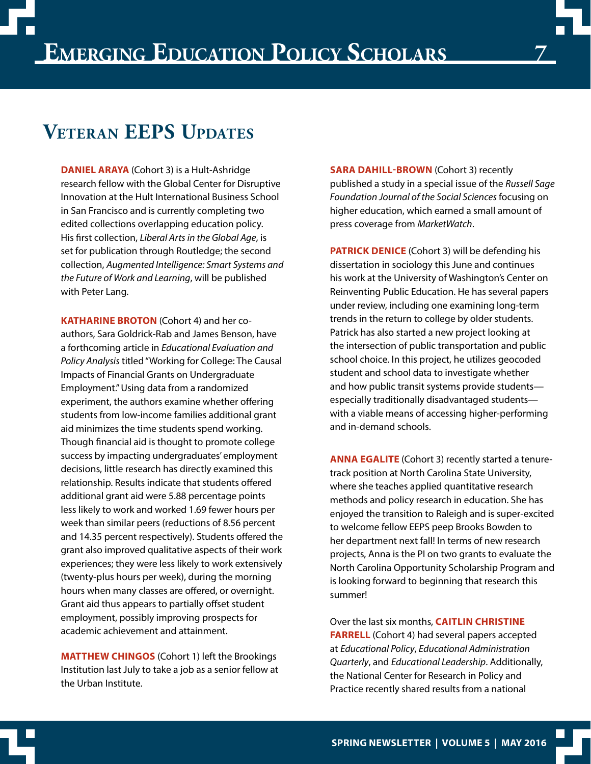## **Veteran EEPS Updates**

**DANIEL ARAYA** (Cohort 3) is a Hult-Ashridge research fellow with the Global Center for Disruptive Innovation at the Hult International Business School in San Francisco and is currently completing two edited collections overlapping education policy. His first collection, *Liberal Arts in the Global Age*, is set for publication through Routledge; the second collection, *Augmented Intelligence: Smart Systems and the Future of Work and Learning*, will be published with Peter Lang.

**KATHARINE BROTON** (Cohort 4) and her coauthors, Sara Goldrick-Rab and James Benson, have a forthcoming article in *Educational Evaluation and Policy Analysis* titled "Working for College: The Causal Impacts of Financial Grants on Undergraduate Employment." Using data from a randomized experiment, the authors examine whether offering students from low-income families additional grant aid minimizes the time students spend working. Though financial aid is thought to promote college success by impacting undergraduates' employment decisions, little research has directly examined this relationship. Results indicate that students offered additional grant aid were 5.88 percentage points less likely to work and worked 1.69 fewer hours per week than similar peers (reductions of 8.56 percent and 14.35 percent respectively). Students offered the grant also improved qualitative aspects of their work experiences; they were less likely to work extensively (twenty-plus hours per week), during the morning hours when many classes are offered, or overnight. Grant aid thus appears to partially offset student employment, possibly improving prospects for academic achievement and attainment.

**MATTHEW CHINGOS** (Cohort 1) left the Brookings Institution last July to take a job as a senior fellow at the Urban Institute.

**SARA DAHILL-BROWN** (Cohort 3) recently published a study in a special issue of the *Russell Sage Foundation Journal of the Social Sciences* focusing on higher education, which earned a small amount of press coverage from *MarketWatch*.

**7**

**PATRICK DENICE** (Cohort 3) will be defending his dissertation in sociology this June and continues his work at the University of Washington's Center on Reinventing Public Education. He has several papers under review, including one examining long-term trends in the return to college by older students. Patrick has also started a new project looking at the intersection of public transportation and public school choice. In this project, he utilizes geocoded student and school data to investigate whether and how public transit systems provide students especially traditionally disadvantaged students with a viable means of accessing higher-performing and in-demand schools.

**ANNA EGALITE** (Cohort 3) recently started a tenuretrack position at North Carolina State University, where she teaches applied quantitative research methods and policy research in education. She has enjoyed the transition to Raleigh and is super-excited to welcome fellow EEPS peep Brooks Bowden to her department next fall! In terms of new research projects, Anna is the PI on two grants to evaluate the North Carolina Opportunity Scholarship Program and is looking forward to beginning that research this summer!

Over the last six months, **CAITLIN CHRISTINE FARRELL** (Cohort 4) had several papers accepted at *Educational Policy*, *Educational Administration Quarterly*, and *Educational Leadership*. Additionally, the National Center for Research in Policy and Practice recently shared results from a national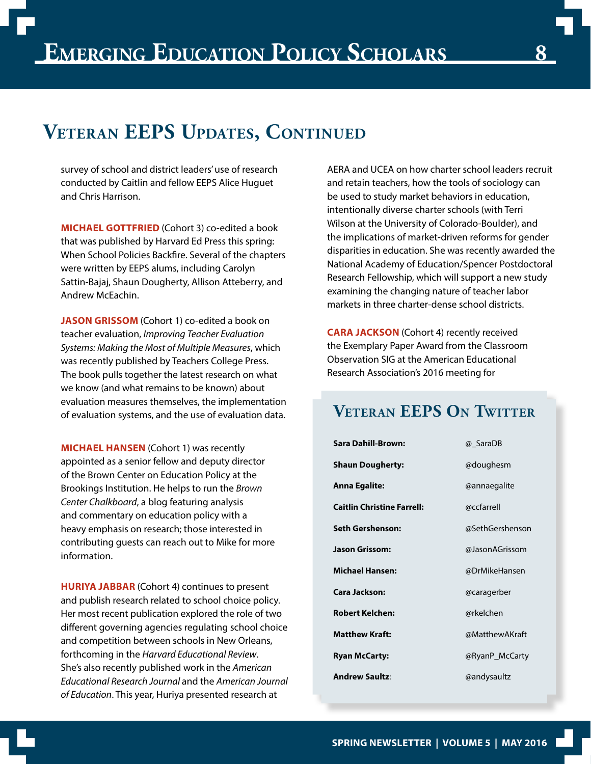## **Veteran EEPS Updates, Continued**

survey of school and district leaders' use of research conducted by Caitlin and fellow EEPS Alice Huguet and Chris Harrison.

**MICHAEL GOTTFRIED** (Cohort 3) co-edited a book that was published by Harvard Ed Press this spring: When School Policies Backfire. Several of the chapters were written by EEPS alums, including Carolyn Sattin-Bajaj, Shaun Dougherty, Allison Atteberry, and Andrew McEachin.

**JASON GRISSOM** (Cohort 1) co-edited a book on teacher evaluation, *Improving Teacher Evaluation Systems: Making the Most of Multiple Measures*, which was recently published by Teachers College Press. The book pulls together the latest research on what we know (and what remains to be known) about evaluation measures themselves, the implementation of evaluation systems, and the use of evaluation data.

**MICHAEL HANSEN** (Cohort 1) was recently appointed as a senior fellow and deputy director of the Brown Center on Education Policy at the Brookings Institution. He helps to run the *Brown Center Chalkboard*, a blog featuring analysis and commentary on education policy with a heavy emphasis on research; those interested in contributing guests can reach out to Mike for more information.

**HURIYA JABBAR** (Cohort 4) continues to present and publish research related to school choice policy. Her most recent publication explored the role of two different governing agencies regulating school choice and competition between schools in New Orleans, forthcoming in the *Harvard Educational Review*. She's also recently published work in the *American Educational Research Journal* and the *American Journal of Education*. This year, Huriya presented research at

AERA and UCEA on how charter school leaders recruit and retain teachers, how the tools of sociology can be used to study market behaviors in education, intentionally diverse charter schools (with Terri Wilson at the University of Colorado-Boulder), and the implications of market-driven reforms for gender disparities in education. She was recently awarded the National Academy of Education/Spencer Postdoctoral Research Fellowship, which will support a new study examining the changing nature of teacher labor markets in three charter-dense school districts.

**CARA JACKSON** (Cohort 4) recently received the Exemplary Paper Award from the Classroom Observation SIG at the American Educational Research Association's 2016 meeting for

**Veteran EEPS On Twitter**

| Sara Dahill-Brown:                | @ SaraDB        |
|-----------------------------------|-----------------|
| <b>Shaun Dougherty:</b>           | @doughesm       |
| Anna Egalite:                     | @annaegalite    |
| <b>Caitlin Christine Farrell:</b> | @ccfarrell      |
| Seth Gershenson:                  | @SethGershenson |
| Jason Grissom:                    | @JasonAGrissom  |
| Michael Hansen:                   | @DrMikeHansen   |
| Cara Jackson:                     | @caragerber     |
| Robert Kelchen:                   | @rkelchen       |
| <b>Matthew Kraft:</b>             | @MatthewAKraft  |
| <b>Ryan McCarty:</b>              | @RyanP_McCarty  |
| <b>Andrew Saultz:</b>             | @andysaultz     |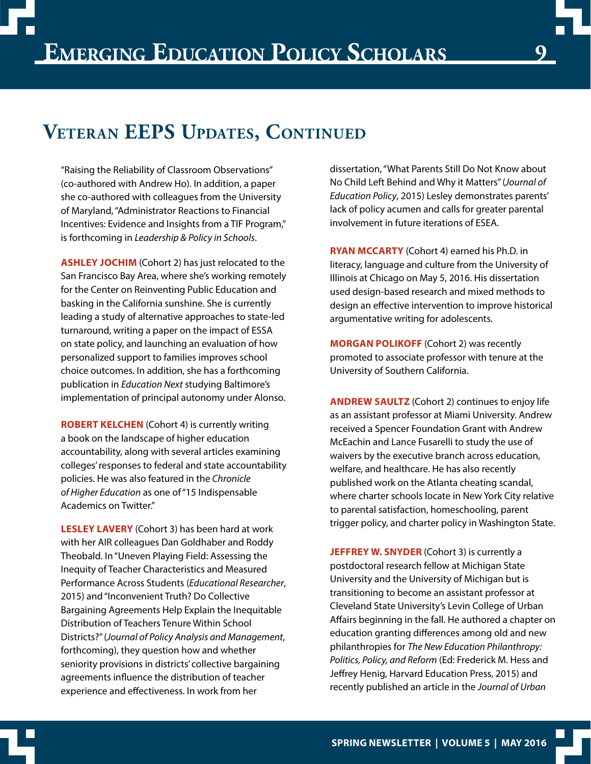"Raising the Reliability of Classroom Observations" (co-authored with Andrew Ho). In addition, a paper she co-authored with colleagues from the University of Maryland, "Administrator Reactions to Financial Incentives: Evidence and Insights from a TIF Program," is forthcoming in *Leadership & Policy in Schools*.

**ASHLEY JOCHIM** (Cohort 2) has just relocated to the San Francisco Bay Area, where she's working remotely for the Center on Reinventing Public Education and basking in the California sunshine. She is currently leading a study of alternative approaches to state-led turnaround, writing a paper on the impact of ESSA on state policy, and launching an evaluation of how personalized support to families improves school choice outcomes. In addition, she has a forthcoming publication in *Education Next* studying Baltimore's implementation of principal autonomy under Alonso.

**ROBERT KELCHEN** (Cohort 4) is currently writing a book on the landscape of higher education accountability, along with several articles examining colleges' responses to federal and state accountability policies. He was also featured in the *Chronicle of Higher Education* as one of "15 Indispensable Academics on Twitter."

**LESLEY LAVERY** (Cohort 3) has been hard at work with her AIR colleagues Dan Goldhaber and Roddy Theobald. In "Uneven Playing Field: Assessing the Inequity of Teacher Characteristics and Measured Performance Across Students (*Educational Researcher*, 2015) and "Inconvenient Truth? Do Collective Bargaining Agreements Help Explain the Inequitable Distribution of Teachers Tenure Within School Districts?" (*Journal of Policy Analysis and Management*, forthcoming), they question how and whether seniority provisions in districts' collective bargaining agreements influence the distribution of teacher experience and effectiveness. In work from her

dissertation, "What Parents Still Do Not Know about No Child Left Behind and Why it Matters" (*Journal of Education Policy*, 2015) Lesley demonstrates parents' lack of policy acumen and calls for greater parental involvement in future iterations of ESEA.

**9**

**RYAN MCCARTY** (Cohort 4) earned his Ph.D. in literacy, language and culture from the University of Illinois at Chicago on May 5, 2016. His dissertation used design-based research and mixed methods to design an effective intervention to improve historical argumentative writing for adolescents.

**MORGAN POLIKOFF** (Cohort 2) was recently promoted to associate professor with tenure at the University of Southern California.

**ANDREW SAULTZ** (Cohort 2) continues to enjoy life as an assistant professor at Miami University. Andrew received a Spencer Foundation Grant with Andrew McEachin and Lance Fusarelli to study the use of waivers by the executive branch across education, welfare, and healthcare. He has also recently published work on the Atlanta cheating scandal, where charter schools locate in New York City relative to parental satisfaction, homeschooling, parent trigger policy, and charter policy in Washington State.

**JEFFREY W. SNYDER** (Cohort 3) is currently a postdoctoral research fellow at Michigan State University and the University of Michigan but is transitioning to become an assistant professor at Cleveland State University's Levin College of Urban Affairs beginning in the fall. He authored a chapter on education granting differences among old and new philanthropies for *The New Education Philanthropy: Politics, Policy, and Reform* (Ed: Frederick M. Hess and Jeffrey Henig, Harvard Education Press, 2015) and recently published an article in the *Journal of Urban*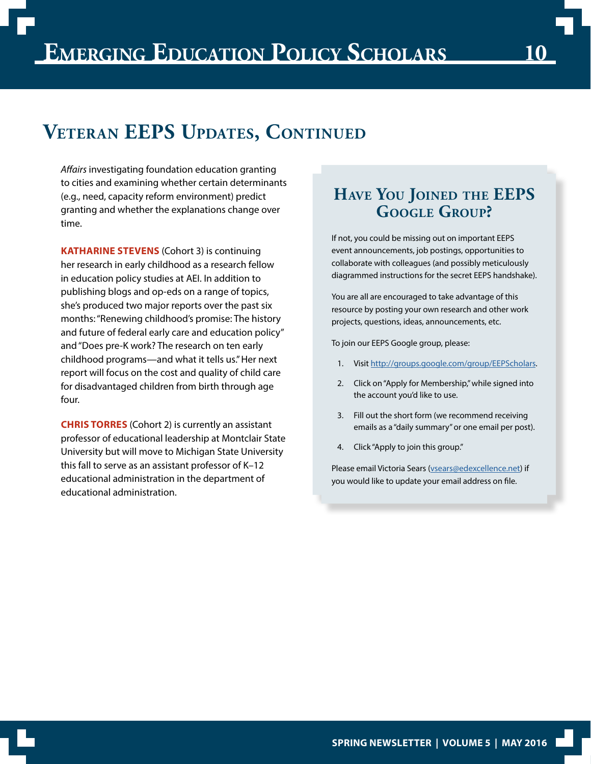## **Veteran EEPS Updates, Continued**

*Affairs* investigating foundation education granting to cities and examining whether certain determinants (e.g., need, capacity reform environment) predict granting and whether the explanations change over time.

**KATHARINE STEVENS** (Cohort 3) is continuing her research in early childhood as a research fellow in education policy studies at AEI. In addition to publishing blogs and op-eds on a range of topics, she's produced two major reports over the past six months: "Renewing childhood's promise: The history and future of federal early care and education policy" and "Does pre-K work? The research on ten early childhood programs—and what it tells us." Her next report will focus on the cost and quality of child care for disadvantaged children from birth through age four.

**CHRIS TORRES** (Cohort 2) is currently an assistant professor of educational leadership at Montclair State University but will move to Michigan State University this fall to serve as an assistant professor of K–12 educational administration in the department of educational administration.

## **Have You Joined the EEPS Google Group?**

If not, you could be missing out on important EEPS event announcements, job postings, opportunities to collaborate with colleagues (and possibly meticulously diagrammed instructions for the secret EEPS handshake).

You are all are encouraged to take advantage of this resource by posting your own research and other work projects, questions, ideas, announcements, etc.

To join our EEPS Google group, please:

- 1. Visit<http://groups.google.com/group/EEPScholars>.
- 2. Click on "Apply for Membership," while signed into the account you'd like to use.
- 3. Fill out the short form (we recommend receiving emails as a "daily summary" or one email per post).
- 4. Click "Apply to join this group."

Please email Victoria Sears (vsears@edexcellence.net) if you would like to update your email address on file.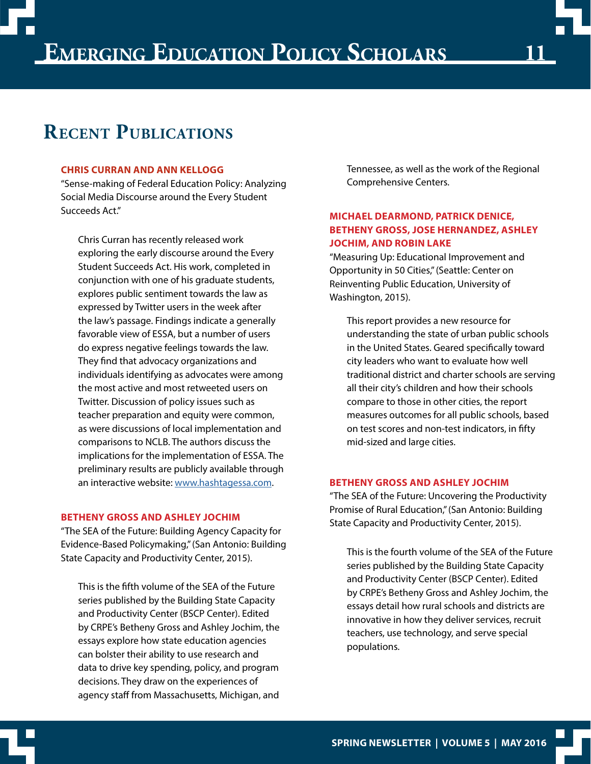

## **Recent Publications**

#### **CHRIS CURRAN AND ANN KELLOGG**

"Sense-making of Federal Education Policy: Analyzing Social Media Discourse around the Every Student Succeeds Act."

Chris Curran has recently released work exploring the early discourse around the Every Student Succeeds Act. His work, completed in conjunction with one of his graduate students, explores public sentiment towards the law as expressed by Twitter users in the week after the law's passage. Findings indicate a generally favorable view of ESSA, but a number of users do express negative feelings towards the law. They find that advocacy organizations and individuals identifying as advocates were among the most active and most retweeted users on Twitter. Discussion of policy issues such as teacher preparation and equity were common, as were discussions of local implementation and comparisons to NCLB. The authors discuss the implications for the implementation of ESSA. The preliminary results are publicly available through an interactive website: [www.hashtagessa.com.](http://www.hashtagessa.com)

#### **BETHENY GROSS AND ASHLEY JOCHIM**

"The SEA of the Future: Building Agency Capacity for Evidence-Based Policymaking," (San Antonio: Building State Capacity and Productivity Center, 2015).

This is the fifth volume of the SEA of the Future series published by the Building State Capacity and Productivity Center (BSCP Center). Edited by CRPE's Betheny Gross and Ashley Jochim, the essays explore how state education agencies can bolster their ability to use research and data to drive key spending, policy, and program decisions. They draw on the experiences of agency staff from Massachusetts, Michigan, and

Tennessee, as well as the work of the Regional Comprehensive Centers.

#### **MICHAEL DEARMOND, PATRICK DENICE, BETHENY GROSS, JOSE HERNANDEZ, ASHLEY JOCHIM, AND ROBIN LAKE**

"Measuring Up: Educational Improvement and Opportunity in 50 Cities," (Seattle: Center on Reinventing Public Education, University of Washington, 2015).

This report provides a new resource for understanding the state of urban public schools in the United States. Geared specifically toward city leaders who want to evaluate how well traditional district and charter schools are serving all their city's children and how their schools compare to those in other cities, the report measures outcomes for all public schools, based on test scores and non-test indicators, in fifty mid-sized and large cities.

#### **BETHENY GROSS AND ASHLEY JOCHIM**

"The SEA of the Future: Uncovering the Productivity Promise of Rural Education," (San Antonio: Building State Capacity and Productivity Center, 2015).

This is the fourth volume of the SEA of the Future series published by the Building State Capacity and Productivity Center (BSCP Center). Edited by CRPE's Betheny Gross and Ashley Jochim, the essays detail how rural schools and districts are innovative in how they deliver services, recruit teachers, use technology, and serve special populations.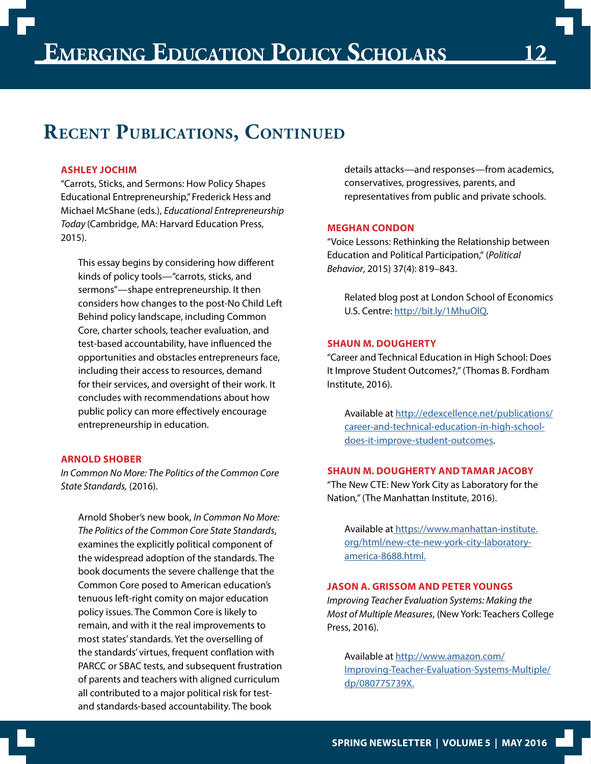## **RECENT PUBLICATIONS, CONTINUED**

#### **ASHLEY JOCHIM**

"Carrots, Sticks, and Sermons: How Policy Shapes Educational Entrepreneurship," Frederick Hess and Michael McShane (eds.), *Educational Entrepreneurship Today* (Cambridge, MA: Harvard Education Press, 2015).

This essay begins by considering how different kinds of policy tools—"carrots, sticks, and sermons"—shape entrepreneurship. It then considers how changes to the post-No Child Left Behind policy landscape, including Common Core, charter schools, teacher evaluation, and test-based accountability, have influenced the opportunities and obstacles entrepreneurs face, including their access to resources, demand for their services, and oversight of their work. It concludes with recommendations about how public policy can more effectively encourage entrepreneurship in education.

#### **ARNOLD SHOBER**

*In Common No More: The Politics of the Common Core State Standards,* (2016).

Arnold Shober's new book, *In Common No More: The Politics of the Common Core State Standards*, examines the explicitly political component of the widespread adoption of the standards. The book documents the severe challenge that the Common Core posed to American education's tenuous left-right comity on major education policy issues. The Common Core is likely to remain, and with it the real improvements to most states' standards. Yet the overselling of the standards' virtues, frequent conflation with PARCC or SBAC tests, and subsequent frustration of parents and teachers with aligned curriculum all contributed to a major political risk for testand standards-based accountability. The book

details attacks—and responses—from academics, conservatives, progressives, parents, and representatives from public and private schools.

#### **MEGHAN CONDON**

"Voice Lessons: Rethinking the Relationship between Education and Political Participation," (*Political Behavior*, 2015) 37(4): 819–843.

Related blog post at London School of Economics U.S. Centre: [http://bit.ly/1MhuOlQ.](http://bit.ly/1MhuOlQ)

#### **SHAUN M. DOUGHERTY**

"Career and Technical Education in High School: Does It Improve Student Outcomes?*,"* (Thomas B. Fordham Institute, 2016).

Available at [http://edexcellence.net/publications/](http://edexcellence.net/publications/career-and-technical-education-in-high-school-does-it-improve-student-outcomes) [career-and-technical-education-in-high-school](http://edexcellence.net/publications/career-and-technical-education-in-high-school-does-it-improve-student-outcomes)[does-it-improve-student-outcomes](http://edexcellence.net/publications/career-and-technical-education-in-high-school-does-it-improve-student-outcomes).

#### **SHAUN M. DOUGHERTY AND TAMAR JACOBY**

"The New CTE: New York City as Laboratory for the Nation*,"* (The Manhattan Institute, 2016).

Available at [https://www.manhattan-institute.](https://www.manhattan-institute.org/html/new-cte-new-york-city-laboratory-america-8688.html) [org/html/new-cte-new-york-city-laboratory](https://www.manhattan-institute.org/html/new-cte-new-york-city-laboratory-america-8688.html)[america-8688.html.](https://www.manhattan-institute.org/html/new-cte-new-york-city-laboratory-america-8688.html)

#### **JASON A. GRISSOM AND PETER YOUNGS**

*Improving Teacher Evaluation Systems: Making the Most of Multiple Measures*, (New York: Teachers College Press, 2016).

Available at [http://www.amazon.com/](http://www.amazon.com/Improving-Teacher-Evaluation-Systems-Multiple/dp/080775739X ) [Improving-Teacher-Evaluation-Systems-Multiple/](http://www.amazon.com/Improving-Teacher-Evaluation-Systems-Multiple/dp/080775739X ) [dp/080775739X.](http://www.amazon.com/Improving-Teacher-Evaluation-Systems-Multiple/dp/080775739X )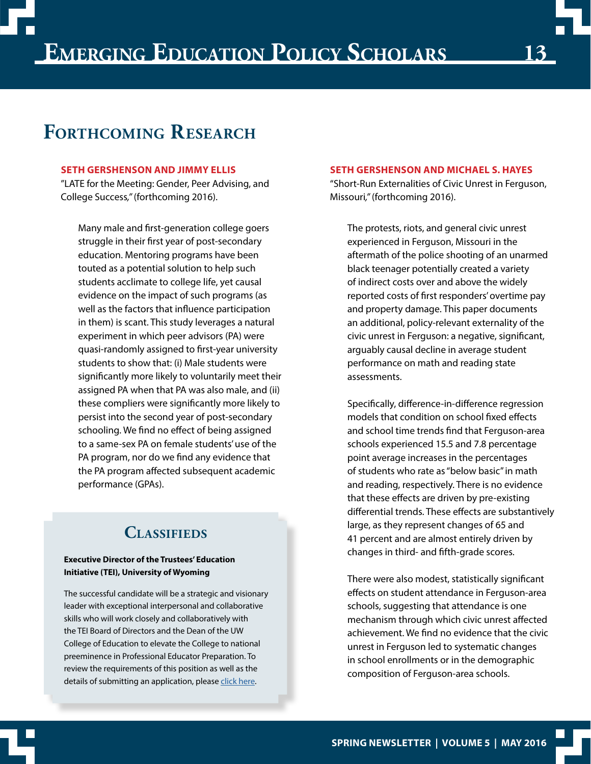# **13**

## **Forthcoming Research**

#### **SETH GERSHENSON AND JIMMY ELLIS**

"LATE for the Meeting: Gender, Peer Advising, and College Success*,"* (forthcoming 2016).

Many male and first-generation college goers struggle in their first year of post-secondary education. Mentoring programs have been touted as a potential solution to help such students acclimate to college life, yet causal evidence on the impact of such programs (as well as the factors that influence participation in them) is scant. This study leverages a natural experiment in which peer advisors (PA) were quasi-randomly assigned to first-year university students to show that: (i) Male students were significantly more likely to voluntarily meet their assigned PA when that PA was also male, and (ii) these compliers were significantly more likely to persist into the second year of post-secondary schooling. We find no effect of being assigned to a same-sex PA on female students' use of the PA program, nor do we find any evidence that the PA program affected subsequent academic performance (GPAs).

## **Classifieds**

#### **Executive Director of the Trustees' Education Initiative (TEI), University of Wyoming**

The successful candidate will be a strategic and visionary leader with exceptional interpersonal and collaborative skills who will work closely and collaboratively with the TEI Board of Directors and the Dean of the UW College of Education to elevate the College to national preeminence in Professional Educator Preparation. To review the requirements of this position as well as the details of submitting an application, please [click here](http://edex.s3-us-west-2.amazonaws.com/UW%20-%20Executive%20Director%20TEI%20-%20Position%20Profile.pdf).

#### **SETH GERSHENSON AND MICHAEL S. HAYES**

"Short-Run Externalities of Civic Unrest in Ferguson, Missouri*,"* (forthcoming 2016).

The protests, riots, and general civic unrest experienced in Ferguson, Missouri in the aftermath of the police shooting of an unarmed black teenager potentially created a variety of indirect costs over and above the widely reported costs of first responders' overtime pay and property damage. This paper documents an additional, policy-relevant externality of the civic unrest in Ferguson: a negative, significant, arguably causal decline in average student performance on math and reading state assessments.

Specifically, difference-in-difference regression models that condition on school fixed effects and school time trends find that Ferguson-area schools experienced 15.5 and 7.8 percentage point average increases in the percentages of students who rate as "below basic" in math and reading, respectively. There is no evidence that these effects are driven by pre-existing differential trends. These effects are substantively large, as they represent changes of 65 and 41 percent and are almost entirely driven by changes in third- and fifth-grade scores.

There were also modest, statistically significant effects on student attendance in Ferguson-area schools, suggesting that attendance is one mechanism through which civic unrest affected achievement. We find no evidence that the civic unrest in Ferguson led to systematic changes in school enrollments or in the demographic composition of Ferguson-area schools.